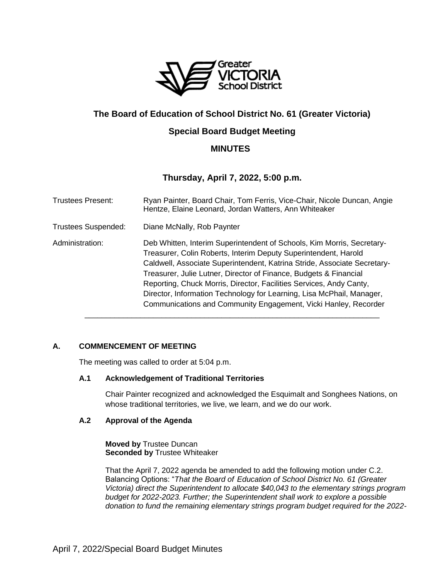

# **The Board of Education of School District No. 61 (Greater Victoria)**

# **Special Board Budget Meeting**

# **MINUTES**

# **Thursday, April 7, 2022, 5:00 p.m.**

| <b>Trustees Present:</b>   | Ryan Painter, Board Chair, Tom Ferris, Vice-Chair, Nicole Duncan, Angie<br>Hentze, Elaine Leonard, Jordan Watters, Ann Whiteaker                                                                                                                                                                                                                                                                                                                                                                              |
|----------------------------|---------------------------------------------------------------------------------------------------------------------------------------------------------------------------------------------------------------------------------------------------------------------------------------------------------------------------------------------------------------------------------------------------------------------------------------------------------------------------------------------------------------|
| <b>Trustees Suspended:</b> | Diane McNally, Rob Paynter                                                                                                                                                                                                                                                                                                                                                                                                                                                                                    |
| Administration:            | Deb Whitten, Interim Superintendent of Schools, Kim Morris, Secretary-<br>Treasurer, Colin Roberts, Interim Deputy Superintendent, Harold<br>Caldwell, Associate Superintendent, Katrina Stride, Associate Secretary-<br>Treasurer, Julie Lutner, Director of Finance, Budgets & Financial<br>Reporting, Chuck Morris, Director, Facilities Services, Andy Canty,<br>Director, Information Technology for Learning, Lisa McPhail, Manager,<br>Communications and Community Engagement, Vicki Hanley, Recorder |

## **A. COMMENCEMENT OF MEETING**

The meeting was called to order at 5:04 p.m.

## **A.1 Acknowledgement of Traditional Territories**

Chair Painter recognized and acknowledged the Esquimalt and Songhees Nations, on whose traditional territories, we live, we learn, and we do our work.

## **A.2 Approval of the Agenda**

**Moved by** Trustee Duncan **Seconded by** Trustee Whiteaker

That the April 7, 2022 agenda be amended to add the following motion under C.2. Balancing Options: "*That the Board of Education of School District No. 61 (Greater Victoria) direct the Superintendent to allocate \$40,043 to the elementary strings program budget for 2022-2023. Further; the Superintendent shall work to explore a possible donation to fund the remaining elementary strings program budget required for the 2022-*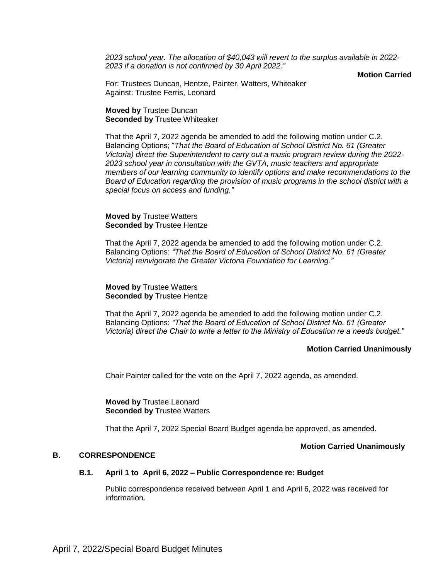*2023 school year. The allocation of \$40,043 will revert to the surplus available in 2022- 2023 if a donation is not confirmed by 30 April 2022."*

**Motion Carried**

For: Trustees Duncan, Hentze, Painter, Watters, Whiteaker Against: Trustee Ferris, Leonard

## **Moved by** Trustee Duncan **Seconded by** Trustee Whiteaker

That the April 7, 2022 agenda be amended to add the following motion under C.2. Balancing Options; "*That the Board of Education of School District No. 61 (Greater Victoria) direct the Superintendent to carry out a music program review during the 2022- 2023 school year in consultation with the GVTA, music teachers and appropriate members of our learning community to identify options and make recommendations to the Board of Education regarding the provision of music programs in the school district with a special focus on access and funding."*

## **Moved by** Trustee Watters **Seconded by Trustee Hentze**

That the April 7, 2022 agenda be amended to add the following motion under C.2. Balancing Options: *"That the Board of Education of School District No. 61 (Greater Victoria) reinvigorate the Greater Victoria Foundation for Learning."*

**Moved by** Trustee Watters **Seconded by** Trustee Hentze

That the April 7, 2022 agenda be amended to add the following motion under C.2. Balancing Options: *"That the Board of Education of School District No. 61 (Greater Victoria) direct the Chair to write a letter to the Ministry of Education re a needs budget."*

## **Motion Carried Unanimously**

Chair Painter called for the vote on the April 7, 2022 agenda, as amended.

**Moved by** Trustee Leonard **Seconded by Trustee Watters** 

That the April 7, 2022 Special Board Budget agenda be approved, as amended.

## **Motion Carried Unanimously**

## **B. CORRESPONDENCE**

## **B.1. April 1 to April 6, 2022 – Public Correspondence re: Budget**

Public correspondence received between April 1 and April 6, 2022 was received for information.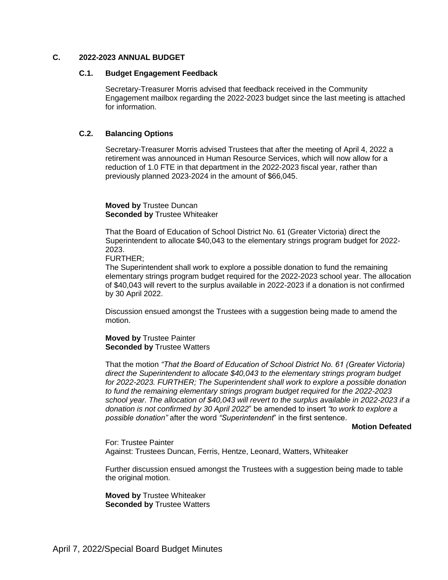#### **C. 2022-2023 ANNUAL BUDGET**

#### **C.1. Budget Engagement Feedback**

Secretary-Treasurer Morris advised that feedback received in the Community Engagement mailbox regarding the 2022-2023 budget since the last meeting is attached for information.

## **C.2. Balancing Options**

Secretary-Treasurer Morris advised Trustees that after the meeting of April 4, 2022 a retirement was announced in Human Resource Services, which will now allow for a reduction of 1.0 FTE in that department in the 2022-2023 fiscal year, rather than previously planned 2023-2024 in the amount of \$66,045.

**Moved by** Trustee Duncan **Seconded by** Trustee Whiteaker

That the Board of Education of School District No. 61 (Greater Victoria) direct the Superintendent to allocate \$40,043 to the elementary strings program budget for 2022- 2023.

FURTHER;

The Superintendent shall work to explore a possible donation to fund the remaining elementary strings program budget required for the 2022-2023 school year. The allocation of \$40,043 will revert to the surplus available in 2022-2023 if a donation is not confirmed by 30 April 2022.

Discussion ensued amongst the Trustees with a suggestion being made to amend the motion.

**Moved by** Trustee Painter **Seconded by** Trustee Watters

That the motion *"That the Board of Education of School District No. 61 (Greater Victoria) direct the Superintendent to allocate \$40,043 to the elementary strings program budget for 2022-2023. FURTHER; The Superintendent shall work to explore a possible donation to fund the remaining elementary strings program budget required for the 2022-2023 school year. The allocation of \$40,043 will revert to the surplus available in 2022-2023 if a donation is not confirmed by 30 April 2022*" be amended to insert *"to work to explore a possible donation"* after the word *"Superintendent*" in the first sentence.

#### **Motion Defeated**

For: Trustee Painter Against: Trustees Duncan, Ferris, Hentze, Leonard, Watters, Whiteaker

Further discussion ensued amongst the Trustees with a suggestion being made to table the original motion.

**Moved by** Trustee Whiteaker **Seconded by** Trustee Watters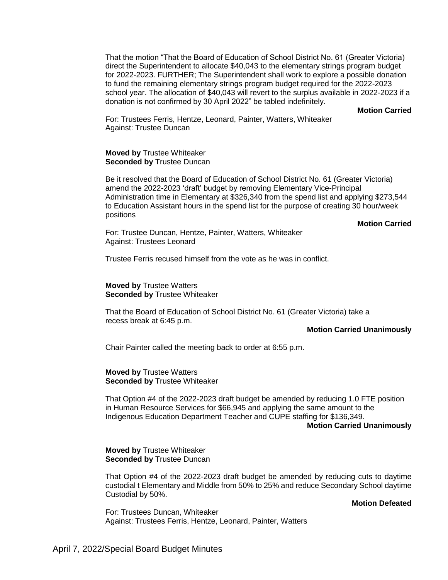That the motion "That the Board of Education of School District No. 61 (Greater Victoria) direct the Superintendent to allocate \$40,043 to the elementary strings program budget for 2022-2023. FURTHER; The Superintendent shall work to explore a possible donation to fund the remaining elementary strings program budget required for the 2022-2023 school year. The allocation of \$40,043 will revert to the surplus available in 2022-2023 if a donation is not confirmed by 30 April 2022" be tabled indefinitely.

**Motion Carried**

For: Trustees Ferris, Hentze, Leonard, Painter, Watters, Whiteaker Against: Trustee Duncan

**Moved by** Trustee Whiteaker **Seconded by** Trustee Duncan

Be it resolved that the Board of Education of School District No. 61 (Greater Victoria) amend the 2022-2023 'draft' budget by removing Elementary Vice-Principal Administration time in Elementary at \$326,340 from the spend list and applying \$273,544 to Education Assistant hours in the spend list for the purpose of creating 30 hour/week positions

**Motion Carried**

For: Trustee Duncan, Hentze, Painter, Watters, Whiteaker Against: Trustees Leonard

Trustee Ferris recused himself from the vote as he was in conflict.

**Moved by** Trustee Watters **Seconded by** Trustee Whiteaker

That the Board of Education of School District No. 61 (Greater Victoria) take a recess break at 6:45 p.m.

## **Motion Carried Unanimously**

Chair Painter called the meeting back to order at 6:55 p.m.

**Moved by** Trustee Watters **Seconded by** Trustee Whiteaker

That Option #4 of the 2022-2023 draft budget be amended by reducing 1.0 FTE position in Human Resource Services for \$66,945 and applying the same amount to the Indigenous Education Department Teacher and CUPE staffing for \$136,349.

#### **Motion Carried Unanimously**

**Moved by** Trustee Whiteaker **Seconded by Trustee Duncan** 

That Option #4 of the 2022-2023 draft budget be amended by reducing cuts to daytime custodial t Elementary and Middle from 50% to 25% and reduce Secondary School daytime Custodial by 50%.

#### **Motion Defeated**

For: Trustees Duncan, Whiteaker Against: Trustees Ferris, Hentze, Leonard, Painter, Watters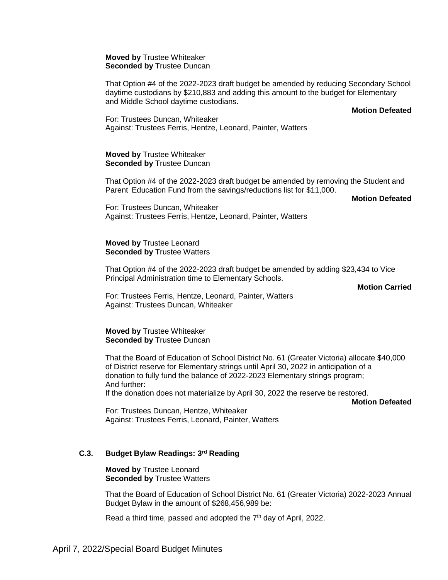**Moved by** Trustee Whiteaker **Seconded by Trustee Duncan** 

That Option #4 of the 2022-2023 draft budget be amended by reducing Secondary School daytime custodians by \$210,883 and adding this amount to the budget for Elementary and Middle School daytime custodians.

**Motion Defeated**

For: Trustees Duncan, Whiteaker Against: Trustees Ferris, Hentze, Leonard, Painter, Watters

**Moved by** Trustee Whiteaker **Seconded by Trustee Duncan** 

That Option #4 of the 2022-2023 draft budget be amended by removing the Student and Parent Education Fund from the savings/reductions list for \$11,000.

**Motion Defeated**

For: Trustees Duncan, Whiteaker Against: Trustees Ferris, Hentze, Leonard, Painter, Watters

#### **Moved by** Trustee Leonard **Seconded by** Trustee Watters

That Option #4 of the 2022-2023 draft budget be amended by adding \$23,434 to Vice Principal Administration time to Elementary Schools.

## **Motion Carried**

For: Trustees Ferris, Hentze, Leonard, Painter, Watters Against: Trustees Duncan, Whiteaker

**Moved by** Trustee Whiteaker **Seconded by** Trustee Duncan

That the Board of Education of School District No. 61 (Greater Victoria) allocate \$40,000 of District reserve for Elementary strings until April 30, 2022 in anticipation of a donation to fully fund the balance of 2022-2023 Elementary strings program; And further:

If the donation does not materialize by April 30, 2022 the reserve be restored.

**Motion Defeated**

For: Trustees Duncan, Hentze, Whiteaker Against: Trustees Ferris, Leonard, Painter, Watters

## **C.3. Budget Bylaw Readings: 3 rd Reading**

**Moved by** Trustee Leonard **Seconded by** Trustee Watters

That the Board of Education of School District No. 61 (Greater Victoria) 2022-2023 Annual Budget Bylaw in the amount of \$268,456,989 be:

Read a third time, passed and adopted the 7<sup>th</sup> day of April, 2022.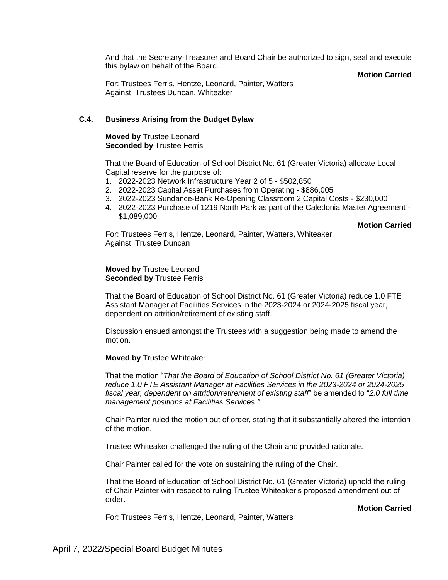And that the Secretary-Treasurer and Board Chair be authorized to sign, seal and execute this bylaw on behalf of the Board.

**Motion Carried**

For: Trustees Ferris, Hentze, Leonard, Painter, Watters Against: Trustees Duncan, Whiteaker

## **C.4. Business Arising from the Budget Bylaw**

**Moved by** Trustee Leonard **Seconded by Trustee Ferris** 

That the Board of Education of School District No. 61 (Greater Victoria) allocate Local Capital reserve for the purpose of:

- 1. 2022-2023 Network Infrastructure Year 2 of 5 \$502,850
- 2. 2022-2023 Capital Asset Purchases from Operating \$886,005
- 3. 2022-2023 Sundance-Bank Re-Opening Classroom 2 Capital Costs \$230,000
- 4. 2022-2023 Purchase of 1219 North Park as part of the Caledonia Master Agreement \$1,089,000

**Motion Carried**

**Motion Carried**

For: Trustees Ferris, Hentze, Leonard, Painter, Watters, Whiteaker Against: Trustee Duncan

**Moved by** Trustee Leonard **Seconded by** Trustee Ferris

That the Board of Education of School District No. 61 (Greater Victoria) reduce 1.0 FTE Assistant Manager at Facilities Services in the 2023-2024 or 2024-2025 fiscal year, dependent on attrition/retirement of existing staff.

Discussion ensued amongst the Trustees with a suggestion being made to amend the motion.

## **Moved by** Trustee Whiteaker

That the motion "*That the Board of Education of School District No. 61 (Greater Victoria) reduce 1.0 FTE Assistant Manager at Facilities Services in the 2023-2024 or 2024-2025 fiscal year, dependent on attrition/retirement of existing staff*" be amended to "*2.0 full time management positions at Facilities Services."*

Chair Painter ruled the motion out of order, stating that it substantially altered the intention of the motion.

Trustee Whiteaker challenged the ruling of the Chair and provided rationale.

Chair Painter called for the vote on sustaining the ruling of the Chair.

That the Board of Education of School District No. 61 (Greater Victoria) uphold the ruling of Chair Painter with respect to ruling Trustee Whiteaker's proposed amendment out of order.

For: Trustees Ferris, Hentze, Leonard, Painter, Watters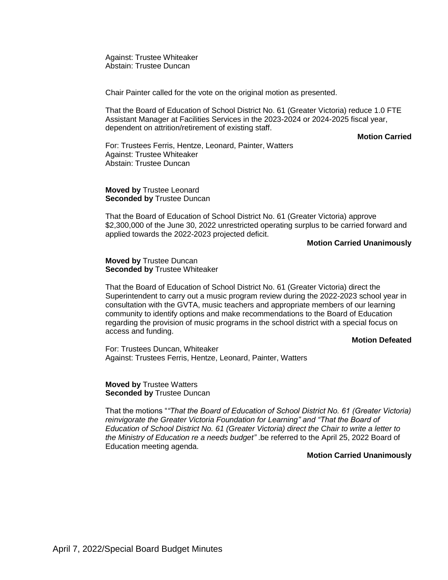Against: Trustee Whiteaker Abstain: Trustee Duncan

Chair Painter called for the vote on the original motion as presented.

That the Board of Education of School District No. 61 (Greater Victoria) reduce 1.0 FTE Assistant Manager at Facilities Services in the 2023-2024 or 2024-2025 fiscal year, dependent on attrition/retirement of existing staff.

**Motion Carried**

For: Trustees Ferris, Hentze, Leonard, Painter, Watters Against: Trustee Whiteaker Abstain: Trustee Duncan

**Moved by** Trustee Leonard **Seconded by** Trustee Duncan

That the Board of Education of School District No. 61 (Greater Victoria) approve \$2,300,000 of the June 30, 2022 unrestricted operating surplus to be carried forward and applied towards the 2022-2023 projected deficit.

#### **Motion Carried Unanimously**

**Moved by** Trustee Duncan **Seconded by** Trustee Whiteaker

That the Board of Education of School District No. 61 (Greater Victoria) direct the Superintendent to carry out a music program review during the 2022-2023 school year in consultation with the GVTA, music teachers and appropriate members of our learning community to identify options and make recommendations to the Board of Education regarding the provision of music programs in the school district with a special focus on access and funding.

#### **Motion Defeated**

For: Trustees Duncan, Whiteaker Against: Trustees Ferris, Hentze, Leonard, Painter, Watters

**Moved by** Trustee Watters **Seconded by** Trustee Duncan

That the motions "*"That the Board of Education of School District No. 61 (Greater Victoria) reinvigorate the Greater Victoria Foundation for Learning" and "That the Board of Education of School District No. 61 (Greater Victoria) direct the Chair to write a letter to the Ministry of Education re a needs budget"* .be referred to the April 25, 2022 Board of Education meeting agenda.

#### **Motion Carried Unanimously**